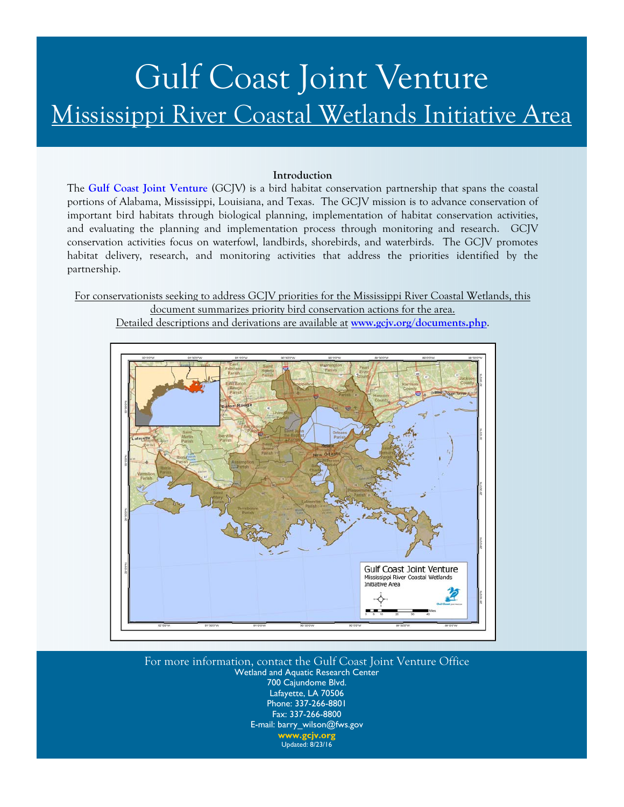# Gulf Coast Joint Venture Mississippi River Coastal Wetlands Initiative Area

#### **Introduction**

The **[Gulf Coast Joint Venture](http://www.gcjv.org)** (GCJV) is a bird habitat conservation partnership that spans the coastal portions of Alabama, Mississippi, Louisiana, and Texas. The GCJV mission is to advance conservation of important bird habitats through biological planning, implementation of habitat conservation activities, and evaluating the planning and implementation process through monitoring and research. GCJV conservation activities focus on waterfowl, landbirds, shorebirds, and waterbirds. The GCJV promotes habitat delivery, research, and monitoring activities that address the priorities identified by the partnership.

For conservationists seeking to address GCJV priorities for the Mississippi River Coastal Wetlands, this document summarizes priority bird conservation actions for the area.

Detailed descriptions and derivations are available at **[www.gcjv.org/documents.php](http://www.gcjv.org/documents.php)**.



For more information, contact the Gulf Coast Joint Venture Office Wetland and Aquatic Research Center 700 Cajundome Blvd. Lafayette, LA 70506 Phone: 337-266-8801 Fax: 337-266-8800 E-mail: barry\_wilson@fws.gov **[www.gcjv.org](http://www.gcjv.org)**  Updated: 8/23/16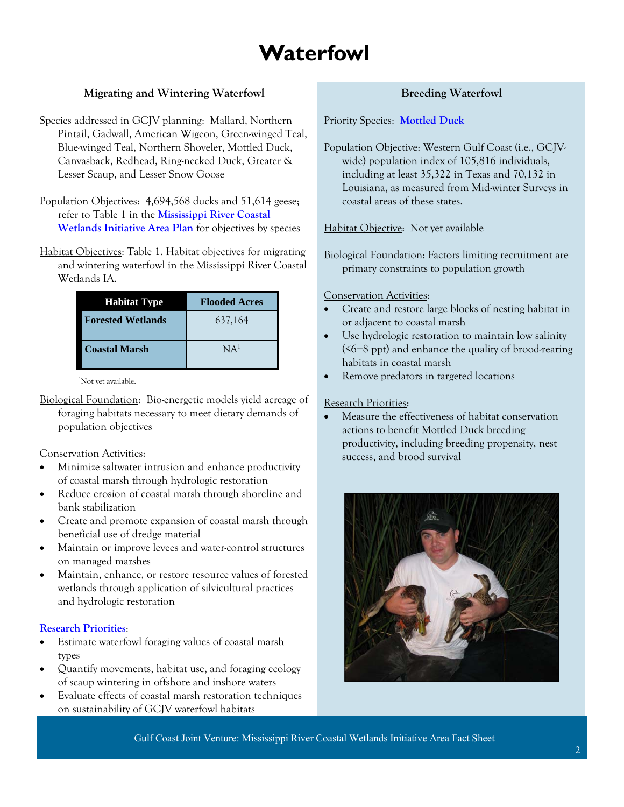### **Waterfowl**

### **Migrating and Wintering Waterfowl**

- Species addressed in GCJV planning: Mallard, Northern Pintail, Gadwall, American Wigeon, Green-winged Teal, Blue-winged Teal, Northern Shoveler, Mottled Duck, Canvasback, Redhead, Ring-necked Duck, Greater & Lesser Scaup, and Lesser Snow Goose
- Population Objectives: 4,694,568 ducks and 51,614 geese; refer to Table 1 in the **[Mississippi River Coastal](http://www.gcjv.org/docs/MSRcoastpub.pdf)  [Wetlands Initiative Area Plan](http://www.gcjv.org/docs/MSRcoastpub.pdf)** for objectives by species
- Habitat Objectives: Table 1. Habitat objectives for migrating and wintering waterfowl in the Mississippi River Coastal Wetlands IA.

| <b>Habitat Type</b>      | <b>Flooded Acres</b> |
|--------------------------|----------------------|
| <b>Forested Wetlands</b> | 637,164              |
| <b>Coastal Marsh</b>     | NA <sup>1</sup>      |

<sup>1</sup>Not yet available.

Biological Foundation: Bio-energetic models yield acreage of foraging habitats necessary to meet dietary demands of population objectives

#### Conservation Activities:

- Minimize saltwater intrusion and enhance productivity of coastal marsh through hydrologic restoration
- Reduce erosion of coastal marsh through shoreline and bank stabilization
- Create and promote expansion of coastal marsh through beneficial use of dredge material
- Maintain or improve levees and water-control structures on managed marshes
- Maintain, enhance, or restore resource values of forested wetlands through application of silvicultural practices and hydrologic restoration

#### **[Research Priorities](http://www.gcjv.org/docs/GCJV Waterfowl Science Needs Plan - May 2012.pdf)**:

- Estimate waterfowl foraging values of coastal marsh types
- Quantify movements, habitat use, and foraging ecology of scaup wintering in offshore and inshore waters
- Evaluate effects of coastal marsh restoration techniques on sustainability of GCJV waterfowl habitats

#### **Breeding Waterfowl**

Priority Species: **[Mottled Duck](http://www.gcjv.org/docs/GCJV MODU Cons Plan.pdf)**

Population Objective: Western Gulf Coast (i.e., GCJVwide) population index of 105,816 individuals, including at least 35,322 in Texas and 70,132 in Louisiana, as measured from Mid-winter Surveys in coastal areas of these states.

Habitat Objective: Not yet available

Biological Foundation: Factors limiting recruitment are primary constraints to population growth

#### Conservation Activities:

- Create and restore large blocks of nesting habitat in or adjacent to coastal marsh
- Use hydrologic restoration to maintain low salinity (<6−8 ppt) and enhance the quality of brood-rearing habitats in coastal marsh
- Remove predators in targeted locations

#### Research Priorities:

 Measure the effectiveness of habitat conservation actions to benefit Mottled Duck breeding productivity, including breeding propensity, nest success, and brood survival



Gulf Coast Joint Venture: Mississippi River Coastal Wetlands Initiative Area Fact Sheet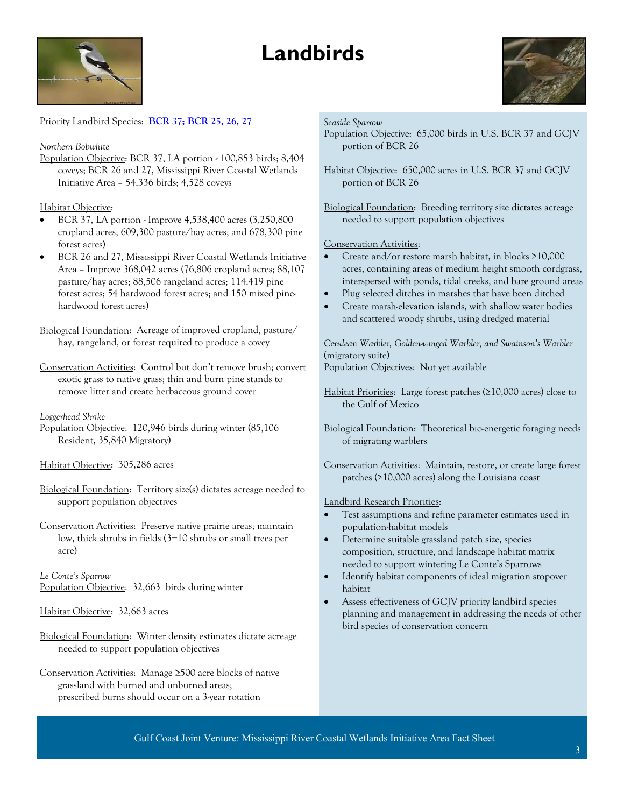## **Landbirds**





Priority Landbird Species: **[BCR 37;](http://www.gcjv.org/docs/Coastal_Prairies_BCR37_Landbird_Plan.pdf) [BCR 25, 26, 27](http://gcjv.org/docs/GCJV_BCR25_26_27_landbird_plan_Vers_1.doc)**

#### *Northern Bobwhite*

Population Objective: BCR 37, LA portion **-** 100,853 birds; 8,404 coveys; BCR 26 and 27, Mississippi River Coastal Wetlands Initiative Area – 54,336 birds; 4,528 coveys

#### Habitat Objective:

- BCR 37, LA portion Improve 4,538,400 acres (3,250,800 cropland acres; 609,300 pasture/hay acres; and 678,300 pine forest acres)
- BCR 26 and 27, Mississippi River Coastal Wetlands Initiative Area – Improve 368,042 acres (76,806 cropland acres; 88,107 pasture/hay acres; 88,506 rangeland acres; 114,419 pine forest acres; 54 hardwood forest acres; and 150 mixed pinehardwood forest acres)

Biological Foundation: Acreage of improved cropland, pasture/ hay, rangeland, or forest required to produce a covey

Conservation Activities:Control but don't remove brush; convert exotic grass to native grass; thin and burn pine stands to remove litter and create herbaceous ground cover

#### *Loggerhead Shrike*

Population Objective:120,946 birds during winter (85,106 Resident, 35,840 Migratory)

#### Habitat Objective:305,286 acres

- Biological Foundation: Territory size(s) dictates acreage needed to support population objectives
- Conservation Activities:Preserve native prairie areas; maintain low, thick shrubs in fields (3−10 shrubs or small trees per acre)

*Le Conte's Sparrow*  Population Objective:32,663 birds during winter

#### Habitat Objective:32,663 acres

Biological Foundation: Winter density estimates dictate acreage needed to support population objectives

Conservation Activities:Manage ≥500 acre blocks of native grassland with burned and unburned areas; prescribed burns should occur on a 3-year rotation

#### *Seaside Sparrow*

Population Objective:65,000 birds in U.S. BCR 37 and GCJV portion of BCR 26

Habitat Objective:650,000 acres in U.S. BCR 37 and GCJV portion of BCR 26

Biological Foundation: Breeding territory size dictates acreage needed to support population objectives

#### Conservation Activities:

- Create and/or restore marsh habitat, in blocks ≥10,000 acres, containing areas of medium height smooth cordgrass, interspersed with ponds, tidal creeks, and bare ground areas
- Plug selected ditches in marshes that have been ditched
- Create marsh-elevation islands, with shallow water bodies and scattered woody shrubs, using dredged material

*Cerulean Warbler, Golden-winged Warbler, and Swainson's Warbler*  (migratory suite)

Population Objectives:Not yet available

- Habitat Priorities:Large forest patches (≥10,000 acres) close to the Gulf of Mexico
- Biological Foundation: Theoretical bio-energetic foraging needs of migrating warblers

Conservation Activities:Maintain, restore, or create large forest patches (≥10,000 acres) along the Louisiana coast

#### Landbird Research Priorities:

- Test assumptions and refine parameter estimates used in population-habitat models
- Determine suitable grassland patch size, species composition, structure, and landscape habitat matrix needed to support wintering Le Conte's Sparrows
- Identify habitat components of ideal migration stopover habitat
- Assess effectiveness of GCJV priority landbird species planning and management in addressing the needs of other bird species of conservation concern